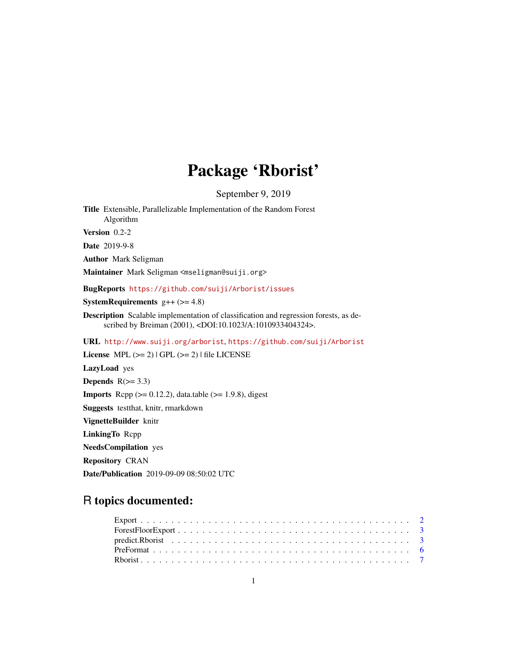# Package 'Rborist'

September 9, 2019

Title Extensible, Parallelizable Implementation of the Random Forest Algorithm Version 0.2-2 Date 2019-9-8 Author Mark Seligman Maintainer Mark Seligman <mseligman@suiji.org> BugReports <https://github.com/suiji/Arborist/issues> **SystemRequirements**  $g++ (> = 4.8)$ Description Scalable implementation of classification and regression forests, as described by Breiman (2001), <DOI:10.1023/A:1010933404324>. URL <http://www.suiji.org/arborist>, <https://github.com/suiji/Arborist> License MPL  $(>= 2)$  | GPL  $(>= 2)$  | file LICENSE LazyLoad yes Depends  $R(>= 3.3)$ **Imports** Rcpp  $(>= 0.12.2)$ , data.table  $(>= 1.9.8)$ , digest Suggests testthat, knitr, rmarkdown VignetteBuilder knitr LinkingTo Rcpp

NeedsCompilation yes

Repository CRAN

Date/Publication 2019-09-09 08:50:02 UTC

# R topics documented: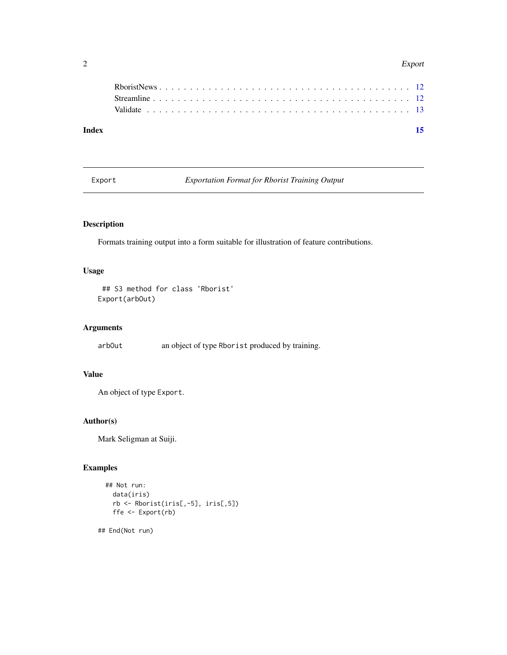#### <span id="page-1-0"></span>2 Export 2

| Index |  |  |  |  |  |  |  |  |  |  |  |  |  |  |  |  |  |  |
|-------|--|--|--|--|--|--|--|--|--|--|--|--|--|--|--|--|--|--|
|       |  |  |  |  |  |  |  |  |  |  |  |  |  |  |  |  |  |  |
|       |  |  |  |  |  |  |  |  |  |  |  |  |  |  |  |  |  |  |
|       |  |  |  |  |  |  |  |  |  |  |  |  |  |  |  |  |  |  |
|       |  |  |  |  |  |  |  |  |  |  |  |  |  |  |  |  |  |  |

Export *Exportation Format for Rborist Training Output*

# Description

Formats training output into a form suitable for illustration of feature contributions.

#### Usage

```
## S3 method for class 'Rborist'
Export(arbOut)
```
#### Arguments

arbOut an object of type Rborist produced by training.

# Value

```
An object of type Export.
```
#### Author(s)

Mark Seligman at Suiji.

#### Examples

```
## Not run:
 data(iris)
 rb <- Rborist(iris[,-5], iris[,5])
 ffe <- Export(rb)
```
## End(Not run)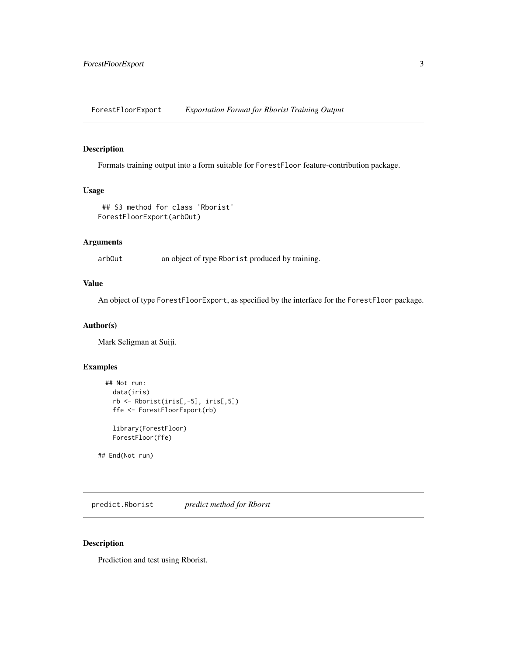<span id="page-2-0"></span>ForestFloorExport *Exportation Format for Rborist Training Output*

#### Description

Formats training output into a form suitable for ForestFloor feature-contribution package.

#### Usage

```
## S3 method for class 'Rborist'
ForestFloorExport(arbOut)
```
#### Arguments

arbOut an object of type Rborist produced by training.

#### Value

An object of type ForestFloorExport, as specified by the interface for the ForestFloor package.

#### Author(s)

Mark Seligman at Suiji.

#### Examples

```
## Not run:
 data(iris)
 rb <- Rborist(iris[,-5], iris[,5])
  ffe <- ForestFloorExport(rb)
  library(ForestFloor)
 ForestFloor(ffe)
```
## End(Not run)

predict.Rborist *predict method for Rborst*

#### Description

Prediction and test using Rborist.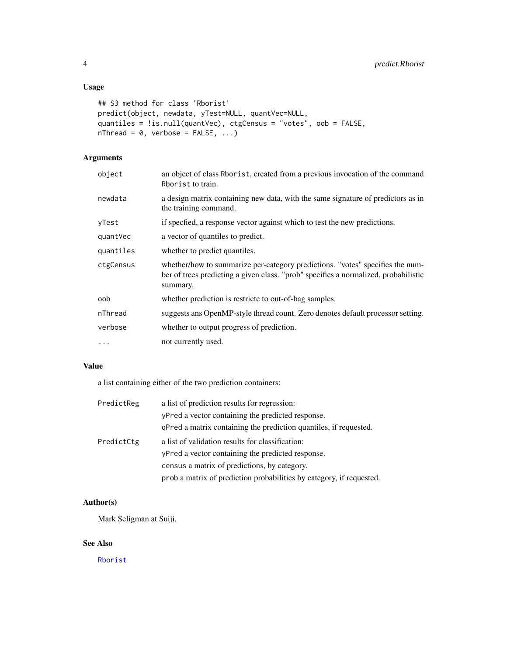#### <span id="page-3-0"></span>Usage

```
## S3 method for class 'Rborist'
predict(object, newdata, yTest=NULL, quantVec=NULL,
quantiles = !is.null(quantVec), ctgCensus = "votes", oob = FALSE,
nThread = 0, verbose = FALSE, ...
```
## Arguments

| object    | an object of class Rborist, created from a previous invocation of the command<br>Rborist to train.                                                                               |
|-----------|----------------------------------------------------------------------------------------------------------------------------------------------------------------------------------|
| newdata   | a design matrix containing new data, with the same signature of predictors as in<br>the training command.                                                                        |
| yTest     | if specfied, a response vector against which to test the new predictions.                                                                                                        |
| quantVec  | a vector of quantiles to predict.                                                                                                                                                |
| quantiles | whether to predict quantiles.                                                                                                                                                    |
| ctgCensus | whether/how to summarize per-category predictions. "votes" specifies the num-<br>ber of trees predicting a given class. "prob" specifies a normalized, probabilistic<br>summary. |
| oob       | whether prediction is restricte to out-of-bag samples.                                                                                                                           |
| nThread   | suggests ans OpenMP-style thread count. Zero denotes default processor setting.                                                                                                  |
| verbose   | whether to output progress of prediction.                                                                                                                                        |
| $\cdots$  | not currently used.                                                                                                                                                              |

#### Value

a list containing either of the two prediction containers:

| PredictReg | a list of prediction results for regression:                         |
|------------|----------------------------------------------------------------------|
|            | yPred a vector containing the predicted response.                    |
|            | qPred a matrix containing the prediction quantiles, if requested.    |
| PredictCtg | a list of validation results for classification:                     |
|            | yPred a vector containing the predicted response.                    |
|            | census a matrix of predictions, by category.                         |
|            | prob a matrix of prediction probabilities by category, if requested. |

#### Author(s)

Mark Seligman at Suiji.

#### See Also

[Rborist](#page-6-1)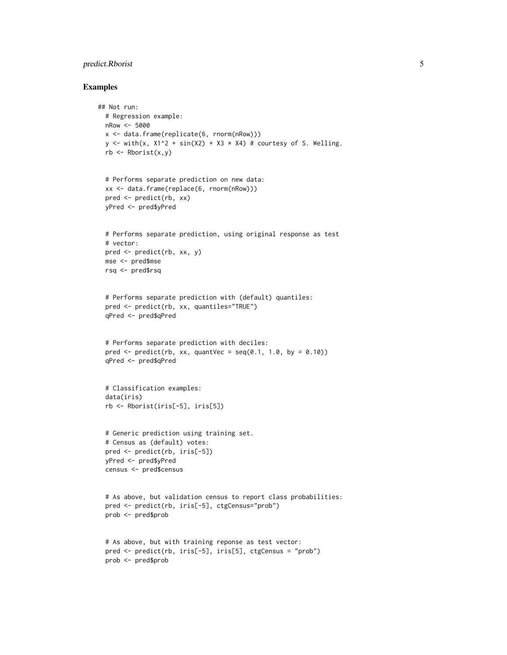#### predict.Rborist 5

#### Examples

```
## Not run:
 # Regression example:
 nRow <- 5000
 x <- data.frame(replicate(6, rnorm(nRow)))
 y \le - with(x, X1^2 + \sin(X2) + X3 \times X4) # courtesy of S. Welling.
 rb \leq Rborist(x,y)# Performs separate prediction on new data:
 xx <- data.frame(replace(6, rnorm(nRow)))
 pred <- predict(rb, xx)
 yPred <- pred$yPred
 # Performs separate prediction, using original response as test
 # vector:
 pred <- predict(rb, xx, y)
 mse <- pred$mse
 rsq <- pred$rsq
 # Performs separate prediction with (default) quantiles:
 pred <- predict(rb, xx, quantiles="TRUE")
 qPred <- pred$qPred
 # Performs separate prediction with deciles:
 pred \leq predict(rb, xx, quantVec = seq(0.1, 1.0, by = 0.10))
 qPred <- pred$qPred
 # Classification examples:
 data(iris)
 rb <- Rborist(iris[-5], iris[5])
 # Generic prediction using training set.
 # Census as (default) votes:
 pred <- predict(rb, iris[-5])
 yPred <- pred$yPred
 census <- pred$census
 # As above, but validation census to report class probabilities:
 pred <- predict(rb, iris[-5], ctgCensus="prob")
 prob <- pred$prob
 # As above, but with training reponse as test vector:
 pred <- predict(rb, iris[-5], iris[5], ctgCensus = "prob")
 prob <- pred$prob
```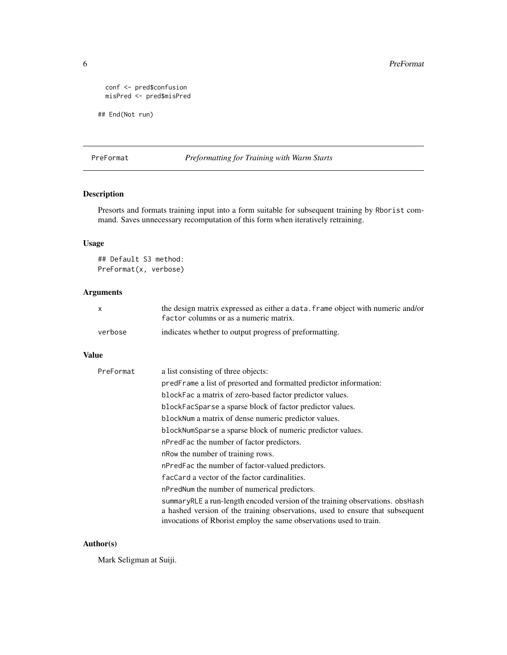```
conf <- pred$confusion
misPred <- pred$misPred
```
## End(Not run)

#### PreFormat *Preformatting for Training with Warm Starts*

#### Description

Presorts and formats training input into a form suitable for subsequent training by Rborist command. Saves unnecessary recomputation of this form when iteratively retraining.

#### Usage

## Default S3 method: PreFormat(x, verbose)

#### Arguments

|         | the design matrix expressed as either a data. frame object with numeric and/or |
|---------|--------------------------------------------------------------------------------|
|         | factor columns or as a numeric matrix.                                         |
| verbose | indicates whether to output progress of preformatting.                         |

#### Value

| a list consisting of three objects:                                                                                                                                                                                                  |
|--------------------------------------------------------------------------------------------------------------------------------------------------------------------------------------------------------------------------------------|
| predFrame a list of presorted and formatted predictor information:                                                                                                                                                                   |
| blockFac a matrix of zero-based factor predictor values.                                                                                                                                                                             |
| blockFacSparse a sparse block of factor predictor values.                                                                                                                                                                            |
| blockNum a matrix of dense numeric predictor values.                                                                                                                                                                                 |
| blockNumSparse a sparse block of numeric predictor values.                                                                                                                                                                           |
| nPredFac the number of factor predictors.                                                                                                                                                                                            |
| n Row the number of training rows.                                                                                                                                                                                                   |
| nPredFac the number of factor-valued predictors.                                                                                                                                                                                     |
| facCard a vector of the factor cardinalities.                                                                                                                                                                                        |
| nPredNum the number of numerical predictors.                                                                                                                                                                                         |
| summaryRLE a run-length encoded version of the training observations, obsHash<br>a hashed version of the training observations, used to ensure that subsequent<br>invocations of Rborist employ the same observations used to train. |
|                                                                                                                                                                                                                                      |

#### Author(s)

Mark Seligman at Suiji.

<span id="page-5-0"></span>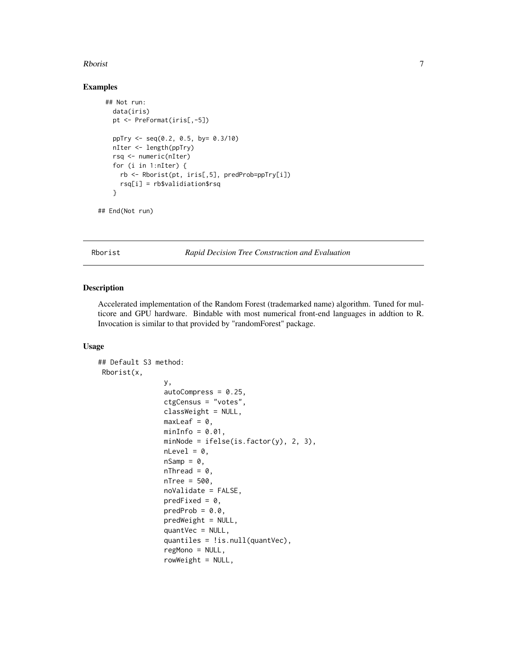#### <span id="page-6-0"></span>Rborist 2008 - 2008 - 2008 - 2008 - 2008 - 2008 - 2008 - 2008 - 2008 - 2008 - 2008 - 2008 - 2008 - 2008 - 2008

#### Examples

```
## Not run:
  data(iris)
  pt <- PreFormat(iris[,-5])
 ppTry <- seq(0.2, 0.5, by= 0.3/10)
 nIter <- length(ppTry)
 rsq <- numeric(nIter)
  for (i in 1:nIter) {
   rb <- Rborist(pt, iris[,5], predProb=ppTry[i])
   rsq[i] = rb$validiation$rsq
  }
```
## End(Not run)

<span id="page-6-1"></span>Rborist *Rapid Decision Tree Construction and Evaluation*

#### Description

Accelerated implementation of the Random Forest (trademarked name) algorithm. Tuned for multicore and GPU hardware. Bindable with most numerical front-end languages in addtion to R. Invocation is similar to that provided by "randomForest" package.

#### Usage

```
## Default S3 method:
Rborist(x,
                y,
                autoCompress = 0.25,
                ctgCensus = "votes",
                classWeight = NULL,
                maxLeaf = 0,
                minInfo = 0.01,minNode = ifelse(is.factor(y), 2, 3),
                nLevel = 0,
                nSamp = 0,nThread = 0,
                nTree = 500,
                noValidate = FALSE,
                predFixed = 0,
                predProb = 0.0,
                predWeight = NULL,
                quantVec = NULL,quantiles = !is.null(quantVec),
                regMono = NULL,
                rowWeight = NULL,
```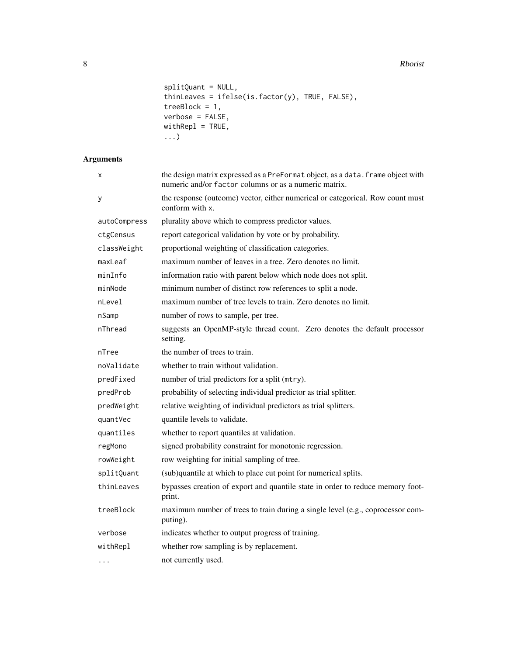8 Rborist Report of the United States of the United States of the United States of the United States of the United States of the United States of the United States of the United States of the United States of the United St

```
splitQuant = NULL,
thinLeaves = ifelse(is.factor(y), TRUE, FALSE),
treeBlock = 1,
verbose = FALSE,withRepl = TRUE,
...)
```
# Arguments

| x            | the design matrix expressed as a PreFormat object, as a data. frame object with<br>numeric and/or factor columns or as a numeric matrix. |
|--------------|------------------------------------------------------------------------------------------------------------------------------------------|
| у            | the response (outcome) vector, either numerical or categorical. Row count must<br>conform with x.                                        |
| autoCompress | plurality above which to compress predictor values.                                                                                      |
| ctgCensus    | report categorical validation by vote or by probability.                                                                                 |
| classWeight  | proportional weighting of classification categories.                                                                                     |
| maxLeaf      | maximum number of leaves in a tree. Zero denotes no limit.                                                                               |
| minInfo      | information ratio with parent below which node does not split.                                                                           |
| minNode      | minimum number of distinct row references to split a node.                                                                               |
| nLevel       | maximum number of tree levels to train. Zero denotes no limit.                                                                           |
| nSamp        | number of rows to sample, per tree.                                                                                                      |
| nThread      | suggests an OpenMP-style thread count. Zero denotes the default processor<br>setting.                                                    |
| nTree        | the number of trees to train.                                                                                                            |
| noValidate   | whether to train without validation.                                                                                                     |
| predFixed    | number of trial predictors for a split (mtry).                                                                                           |
| predProb     | probability of selecting individual predictor as trial splitter.                                                                         |
| predWeight   | relative weighting of individual predictors as trial splitters.                                                                          |
| quantVec     | quantile levels to validate.                                                                                                             |
| quantiles    | whether to report quantiles at validation.                                                                                               |
| regMono      | signed probability constraint for monotonic regression.                                                                                  |
| rowWeight    | row weighting for initial sampling of tree.                                                                                              |
| splitQuant   | (sub)quantile at which to place cut point for numerical splits.                                                                          |
| thinLeaves   | bypasses creation of export and quantile state in order to reduce memory foot-<br>print.                                                 |
| treeBlock    | maximum number of trees to train during a single level (e.g., coprocessor com-<br>puting).                                               |
| verbose      | indicates whether to output progress of training.                                                                                        |
| withRepl     | whether row sampling is by replacement.                                                                                                  |
| .            | not currently used.                                                                                                                      |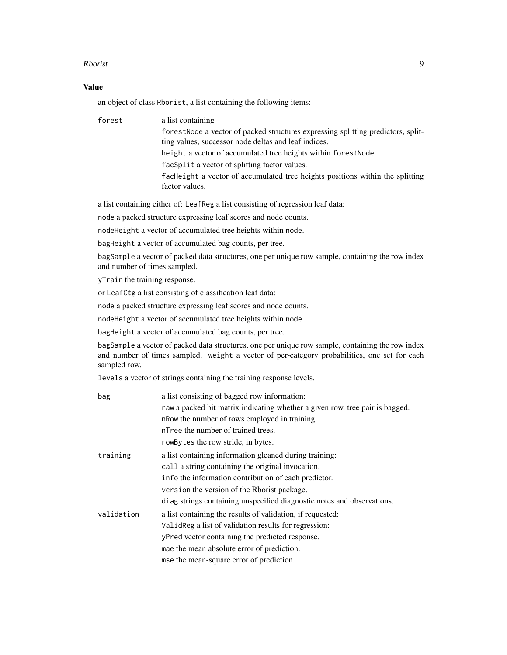#### Rborist 2008 - 2008 - 2008 - 2008 - 2008 - 2008 - 2008 - 2008 - 2008 - 2008 - 2008 - 2008 - 2008 - 2008 - 2008

#### Value

an object of class Rborist, a list containing the following items:

forest a list containing

forestNode a vector of packed structures expressing splitting predictors, splitting values, successor node deltas and leaf indices. height a vector of accumulated tree heights within forestNode. facSplit a vector of splitting factor values. facHeight a vector of accumulated tree heights positions within the splitting factor values.

a list containing either of: LeafReg a list consisting of regression leaf data:

node a packed structure expressing leaf scores and node counts.

nodeHeight a vector of accumulated tree heights within node.

bagHeight a vector of accumulated bag counts, per tree.

bagSample a vector of packed data structures, one per unique row sample, containing the row index and number of times sampled.

yTrain the training response.

or LeafCtg a list consisting of classification leaf data:

node a packed structure expressing leaf scores and node counts.

nodeHeight a vector of accumulated tree heights within node.

bagHeight a vector of accumulated bag counts, per tree.

bagSample a vector of packed data structures, one per unique row sample, containing the row index and number of times sampled. weight a vector of per-category probabilities, one set for each sampled row.

levels a vector of strings containing the training response levels.

| bag        | a list consisting of bagged row information:                                 |
|------------|------------------------------------------------------------------------------|
|            | raw a packed bit matrix indicating whether a given row, tree pair is bagged. |
|            | n Row the number of rows employed in training.                               |
|            | nTree the number of trained trees.                                           |
|            | row Bytes the row stride, in bytes.                                          |
| training   | a list containing information gleaned during training:                       |
|            | call a string containing the original invocation.                            |
|            | info the information contribution of each predictor.                         |
|            | version the version of the Rborist package.                                  |
|            | diag strings containing unspecified diagnostic notes and observations.       |
| validation | a list containing the results of validation, if requested:                   |
|            | ValidReg a list of validation results for regression:                        |
|            | yPred vector containing the predicted response.                              |
|            | mae the mean absolute error of prediction.                                   |
|            | mse the mean-square error of prediction.                                     |
|            |                                                                              |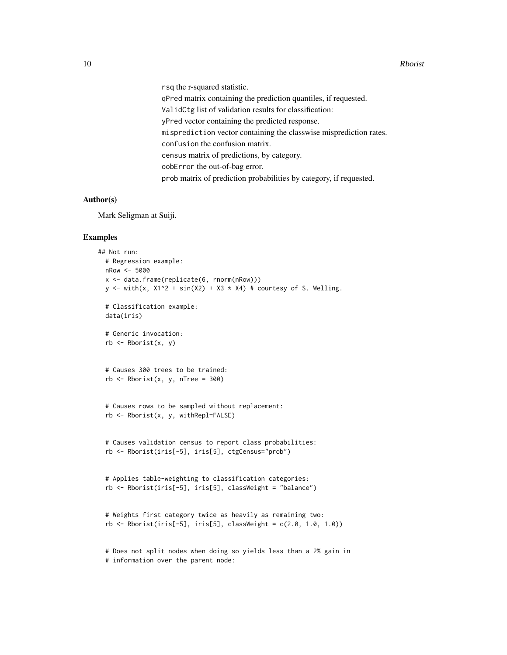rsq the r-squared statistic.

qPred matrix containing the prediction quantiles, if requested. ValidCtg list of validation results for classification: yPred vector containing the predicted response. misprediction vector containing the classwise misprediction rates. confusion the confusion matrix. census matrix of predictions, by category. oobError the out-of-bag error. prob matrix of prediction probabilities by category, if requested.

### Author(s)

Mark Seligman at Suiji.

#### Examples

```
## Not run:
 # Regression example:
 nRow <- 5000
 x <- data.frame(replicate(6, rnorm(nRow)))
 y <- with(x, X1^2 + \sin(X2) + X3 + X4) # courtesy of S. Welling.
 # Classification example:
 data(iris)
 # Generic invocation:
 rb \leftarrow \text{Rborist}(x, y)# Causes 300 trees to be trained:
 rb \leq Rborist(x, y, nTree = 300)# Causes rows to be sampled without replacement:
 rb <- Rborist(x, y, withRepl=FALSE)
 # Causes validation census to report class probabilities:
 rb <- Rborist(iris[-5], iris[5], ctgCensus="prob")
 # Applies table-weighting to classification categories:
 rb <- Rborist(iris[-5], iris[5], classWeight = "balance")
 # Weights first category twice as heavily as remaining two:
 rb \leq Rborist(iris[-5], iris[5], classWeight = c(2.0, 1.0, 1.0))# Does not split nodes when doing so yields less than a 2% gain in
```
# information over the parent node: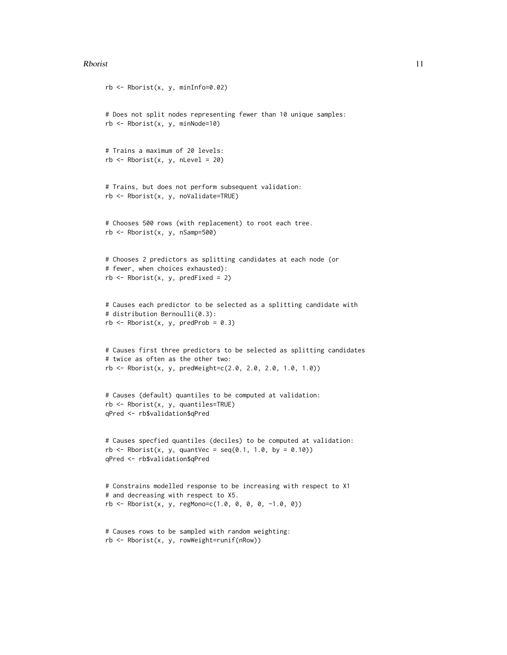#### Rborist 11

```
rb \leq Rborist(x, y, minInfo=0.02)# Does not split nodes representing fewer than 10 unique samples:
rb \leq Rborist(x, y, minNode=10)# Trains a maximum of 20 levels:
rb \leq Rborist(x, y, nLevel = 20)# Trains, but does not perform subsequent validation:
rb <- Rborist(x, y, noValidate=TRUE)
# Chooses 500 rows (with replacement) to root each tree.
rb <- Rborist(x, y, nSamp=500)
# Chooses 2 predictors as splitting candidates at each node (or
# fewer, when choices exhausted):
rb \leq Rborist(x, y, predFixed = 2)# Causes each predictor to be selected as a splitting candidate with
# distribution Bernoulli(0.3):
rb \leq Rborist(x, y, predProb = 0.3)
# Causes first three predictors to be selected as splitting candidates
# twice as often as the other two:
rb <- Rborist(x, y, predWeight=c(2.0, 2.0, 2.0, 1.0, 1.0))
# Causes (default) quantiles to be computed at validation:
rb <- Rborist(x, y, quantiles=TRUE)
qPred <- rb$validation$qPred
# Causes specfied quantiles (deciles) to be computed at validation:
rb \leq Rborist(x, y, quantVec = seq(0.1, 1.0, by = 0.10))qPred <- rb$validation$qPred
# Constrains modelled response to be increasing with respect to X1
# and decreasing with respect to X5.
rb \leq Rborist(x, y, regMonoc(C1.0, 0, 0, -1.0, 0))# Causes rows to be sampled with random weighting:
rb <- Rborist(x, y, rowWeight=runif(nRow))
```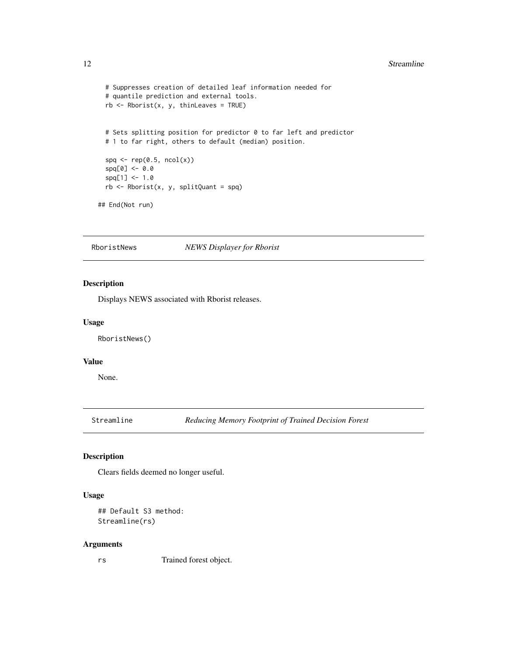#### <span id="page-11-0"></span>12 Streamline

```
# Suppresses creation of detailed leaf information needed for
 # quantile prediction and external tools.
 rb \leq Rborist(x, y, thinLeaves = TRUE)# Sets splitting position for predictor 0 to far left and predictor
 # 1 to far right, others to default (median) position.
 spq \leq rep(0.5, ncol(x))
 spq[0] <- 0.0
 spq[1] < -1.0rb <- Rborist(x, y, splitQuant = spq)
## End(Not run)
```
RboristNews *NEWS Displayer for Rborist*

#### Description

Displays NEWS associated with Rborist releases.

#### Usage

RboristNews()

#### Value

None.

Streamline *Reducing Memory Footprint of Trained Decision Forest*

#### Description

Clears fields deemed no longer useful.

#### Usage

```
## Default S3 method:
Streamline(rs)
```
#### Arguments

rs Trained forest object.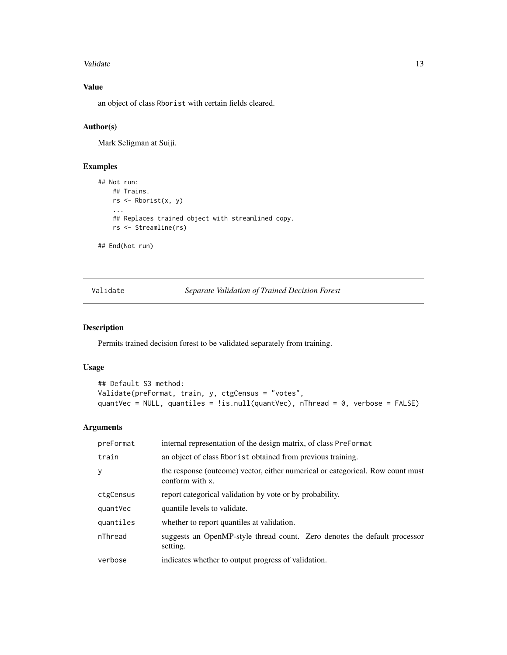#### <span id="page-12-0"></span>Validate 13

# Value

an object of class Rborist with certain fields cleared.

#### Author(s)

Mark Seligman at Suiji.

#### Examples

```
## Not run:
   ## Trains.
   rs <- Rborist(x, y)
    ...
   ## Replaces trained object with streamlined copy.
   rs <- Streamline(rs)
## End(Not run)
```
Validate *Separate Validation of Trained Decision Forest*

# Description

Permits trained decision forest to be validated separately from training.

#### Usage

```
## Default S3 method:
Validate(preFormat, train, y, ctgCensus = "votes",
quantVec = NULL, quantiles = !is.null(quantVec), nThread = 0, verbose = FALSE)
```
#### Arguments

| preFormat | internal representation of the design matrix, of class PreFormat                                  |
|-----------|---------------------------------------------------------------------------------------------------|
| train     | an object of class Rbor is to obtained from previous training.                                    |
| y         | the response (outcome) vector, either numerical or categorical. Row count must<br>conform with x. |
| ctgCensus | report categorical validation by vote or by probability.                                          |
| quantVec  | quantile levels to validate.                                                                      |
| quantiles | whether to report quantiles at validation.                                                        |
| nThread   | suggests an OpenMP-style thread count. Zero denotes the default processor<br>setting.             |
| verbose   | indicates whether to output progress of validation.                                               |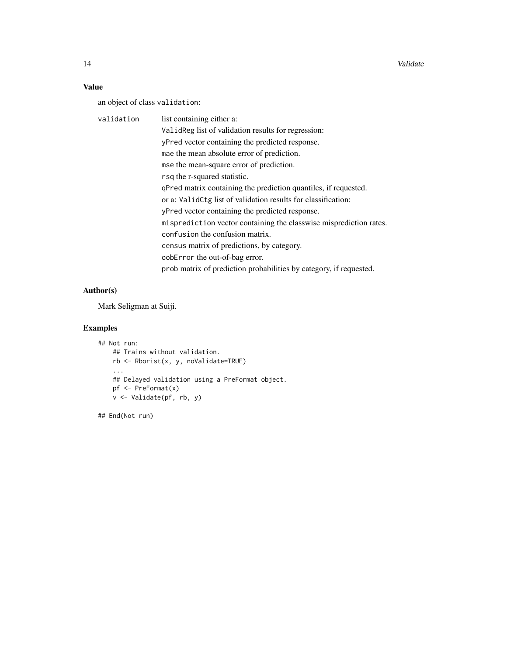14 Validate **12 Validate** 14 Validate 12 Validate 12 Validate 12 Validate 12 Validate 12 Validate 12 Validate 12 Validate 12 Validate 12 Validate 12 Validate 12 Validate 12 Validate 12 Validate 12 Validate 12 Validate 12 V

# Value

an object of class validation:

| validation | list containing either a:                                          |
|------------|--------------------------------------------------------------------|
|            | Valid Reg list of validation results for regression:               |
|            | yPred vector containing the predicted response.                    |
|            | mae the mean absolute error of prediction.                         |
|            | mse the mean-square error of prediction.                           |
|            | rsq the r-squared statistic.                                       |
|            | qPred matrix containing the prediction quantiles, if requested.    |
|            | or a: ValidCtg list of validation results for classification:      |
|            | yPred vector containing the predicted response.                    |
|            | misprediction vector containing the classwise misprediction rates. |
|            | confusion the confusion matrix.                                    |
|            | census matrix of predictions, by category.                         |
|            | oobError the out-of-bag error.                                     |
|            | prob matrix of prediction probabilities by category, if requested. |

# Author(s)

Mark Seligman at Suiji.

# Examples

```
## Not run:
   ## Trains without validation.
   rb <- Rborist(x, y, noValidate=TRUE)
    ...
   ## Delayed validation using a PreFormat object.
   pf <- PreFormat(x)
   v <- Validate(pf, rb, y)
```
## End(Not run)